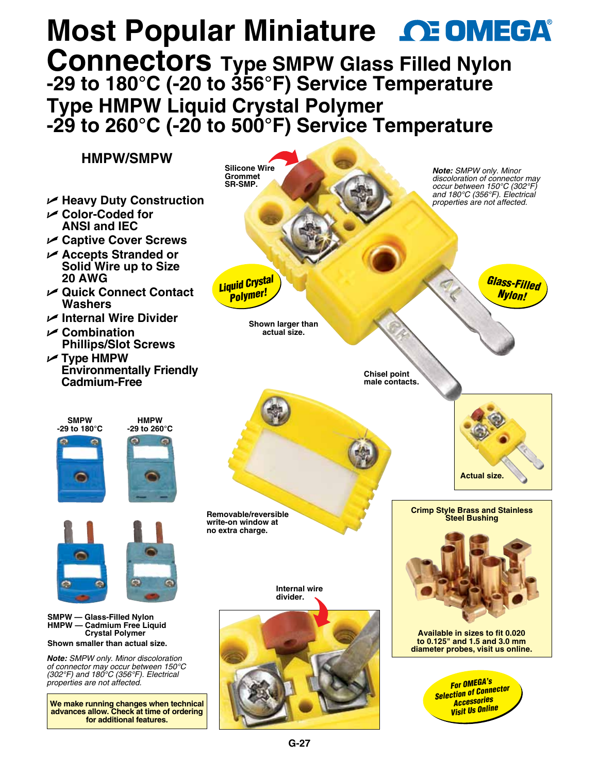## **Most Popular Miniature <b>CE OMEGA Connectors Type SMPW Glas[s Filled Nylon](www.omega.com)  -29 to 180°C (-20 to 356°F) Service Temperature Type HMPW Liquid Crystal Polymer -29 to 260°C (-20 to 500°F) Service Temperature**